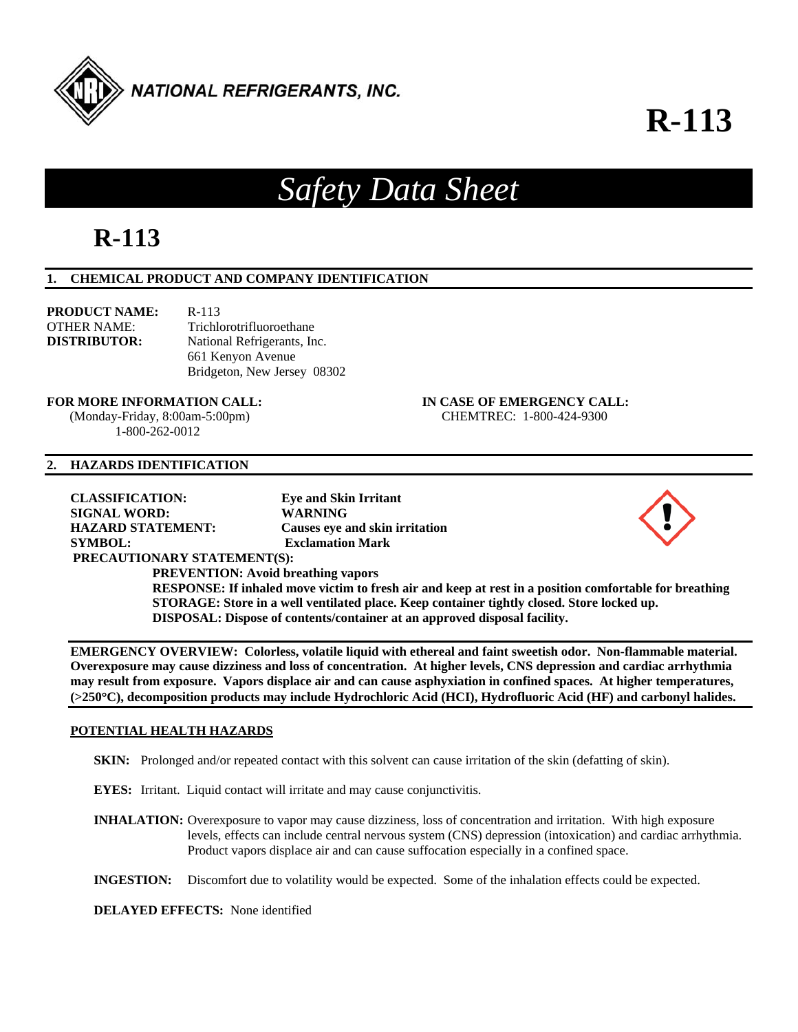

# **R-113**

# *Safety Data Sheet*

## **R-113**

#### **1. CHEMICAL PRODUCT AND COMPANY IDENTIFICATION**

| <b>PRODUCT NAME:</b> | $R-113$                     |
|----------------------|-----------------------------|
| OTHER NAME:          | Trichlorotrifluoroethane    |
| <b>DISTRIBUTOR:</b>  | National Refrigerants, Inc. |
|                      | 661 Kenyon Avenue           |
|                      | Bridgeton, New Jersey 08302 |

#### **FOR MORE INFORMATION CALL: IN CASE OF EMERGENCY CALL:**

1-800-262-0012

## (Monday-Friday, 8:00am-5:00pm) CHEMTREC: 1-800-424-9300

#### **2. HAZARDS IDENTIFICATION**

**CLASSIFICATION: Eye and Skin Irritant SIGNAL WORD: WARNING HAZARD STATEMENT: Causes eye and skin irritation SYMBOL: Exclamation Mark PRECAUTIONARY STATEMENT(S): PREVENTION: Avoid breathing vapors RESPONSE: If inhaled move victim to fresh air and keep at rest in a position comfortable for breathing STORAGE: Store in a well ventilated place. Keep container tightly closed. Store locked up.** 

**DISPOSAL: Dispose of contents/container at an approved disposal facility.** 

**EMERGENCY OVERVIEW: Colorless, volatile liquid with ethereal and faint sweetish odor. Non-flammable material. Overexposure may cause dizziness and loss of concentration. At higher levels, CNS depression and cardiac arrhythmia may result from exposure. Vapors displace air and can cause asphyxiation in confined spaces. At higher temperatures, (>250C), decomposition products may include Hydrochloric Acid (HCI), Hydrofluoric Acid (HF) and carbonyl halides.** 

## **POTENTIAL HEALTH HAZARDS**

**SKIN:** Prolonged and/or repeated contact with this solvent can cause irritation of the skin (defatting of skin).

**EYES:** Irritant. Liquid contact will irritate and may cause conjunctivitis.

**INHALATION:** Overexposure to vapor may cause dizziness, loss of concentration and irritation. With high exposure levels, effects can include central nervous system (CNS) depression (intoxication) and cardiac arrhythmia. Product vapors displace air and can cause suffocation especially in a confined space.

**INGESTION:** Discomfort due to volatility would be expected. Some of the inhalation effects could be expected.

**DELAYED EFFECTS:** None identified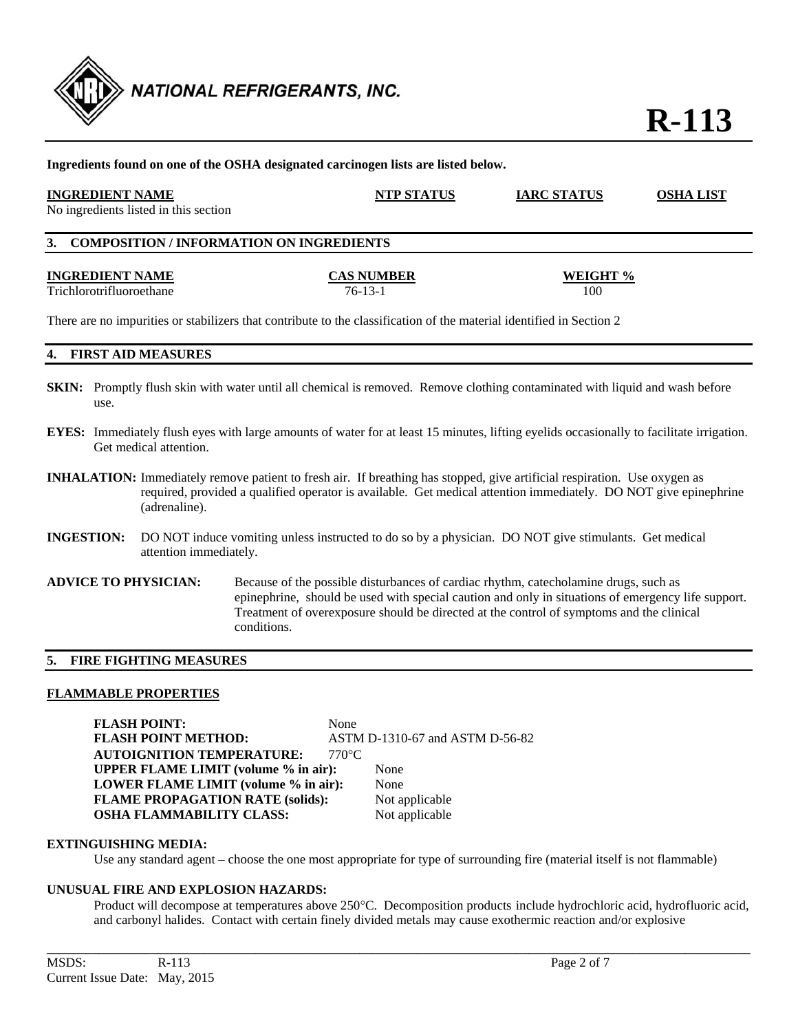

| <b>INGREDIENT NAME</b><br>No ingredients listed in this section | <b>NTP STATUS</b>                                                                                                    | <b>IARC STATUS</b> | <b>OSHA LIST</b> |
|-----------------------------------------------------------------|----------------------------------------------------------------------------------------------------------------------|--------------------|------------------|
| 3. COMPOSITION / INFORMATION ON INGREDIENTS                     |                                                                                                                      |                    |                  |
| <b>INGREDIENT NAME</b><br>Trichlorotrifluoroethane              | <b>CAS NUMBER</b><br>$76-13-1$                                                                                       | WEIGHT %<br>100    |                  |
|                                                                 | There are no impurities or stabilizers that contribute to the classification of the material identified in Section 2 |                    |                  |

- **SKIN:** Promptly flush skin with water until all chemical is removed. Remove clothing contaminated with liquid and wash before use.
- **EYES:** Immediately flush eyes with large amounts of water for at least 15 minutes, lifting eyelids occasionally to facilitate irrigation. Get medical attention.
- **INHALATION:** Immediately remove patient to fresh air. If breathing has stopped, give artificial respiration. Use oxygen as required, provided a qualified operator is available. Get medical attention immediately. DO NOT give epinephrine (adrenaline).
- **INGESTION:** DO NOT induce vomiting unless instructed to do so by a physician. DO NOT give stimulants. Get medical attention immediately.
- **ADVICE TO PHYSICIAN:** Because of the possible disturbances of cardiac rhythm, catecholamine drugs, such as epinephrine, should be used with special caution and only in situations of emergency life support. Treatment of overexposure should be directed at the control of symptoms and the clinical conditions.

#### **5. FIRE FIGHTING MEASURES**

#### **FLAMMABLE PROPERTIES**

FLASH POINT: None **FLASH POINT METHOD:** ASTM D-1310-67 and ASTM D-56-82 **AUTOIGNITION TEMPERATURE: 770°C UPPER FLAME LIMIT (volume % in air):** None **LOWER FLAME LIMIT (volume % in air):** None **FLAME PROPAGATION RATE (solids):** Not applicable **OSHA FLAMMABILITY CLASS:** Not applicable

#### **EXTINGUISHING MEDIA:**

Use any standard agent – choose the one most appropriate for type of surrounding fire (material itself is not flammable)

#### **UNUSUAL FIRE AND EXPLOSION HAZARDS:**

Product will decompose at temperatures above 250°C. Decomposition products include hydrochloric acid, hydrofluoric acid, and carbonyl halides. Contact with certain finely divided metals may cause exothermic reaction and/or explosive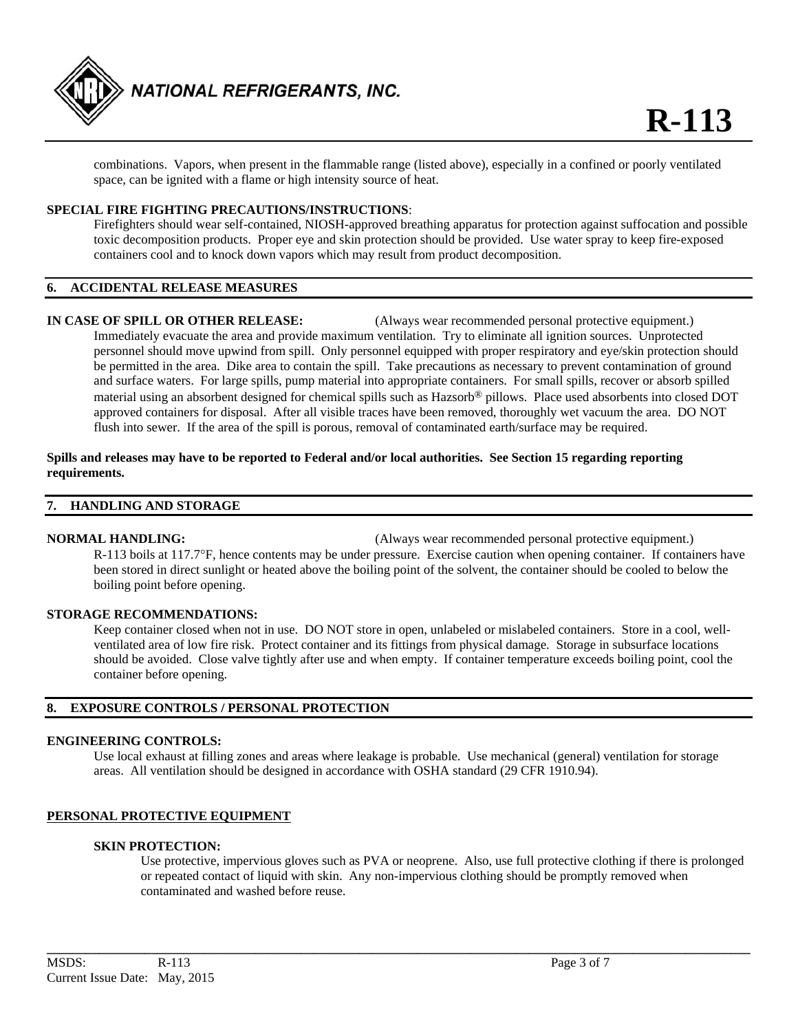

 combinations. Vapors, when present in the flammable range (listed above), especially in a confined or poorly ventilated space, can be ignited with a flame or high intensity source of heat.

#### **SPECIAL FIRE FIGHTING PRECAUTIONS/INSTRUCTIONS**:

 Firefighters should wear self-contained, NIOSH-approved breathing apparatus for protection against suffocation and possible toxic decomposition products. Proper eye and skin protection should be provided. Use water spray to keep fire-exposed containers cool and to knock down vapors which may result from product decomposition.

## **6. ACCIDENTAL RELEASE MEASURES**

**IN CASE OF SPILL OR OTHER RELEASE:** (Always wear recommended personal protective equipment.) Immediately evacuate the area and provide maximum ventilation. Try to eliminate all ignition sources. Unprotected personnel should move upwind from spill. Only personnel equipped with proper respiratory and eye/skin protection should be permitted in the area. Dike area to contain the spill. Take precautions as necessary to prevent contamination of ground and surface waters. For large spills, pump material into appropriate containers. For small spills, recover or absorb spilled material using an absorbent designed for chemical spills such as Hazsorb® pillows. Place used absorbents into closed DOT approved containers for disposal. After all visible traces have been removed, thoroughly wet vacuum the area. DO NOT flush into sewer. If the area of the spill is porous, removal of contaminated earth/surface may be required.

#### **Spills and releases may have to be reported to Federal and/or local authorities. See Section 15 regarding reporting requirements.**

#### **7. HANDLING AND STORAGE**

**NORMAL HANDLING:** (Always wear recommended personal protective equipment.) R-113 boils at 117.7F, hence contents may be under pressure. Exercise caution when opening container. If containers have been stored in direct sunlight or heated above the boiling point of the solvent, the container should be cooled to below the boiling point before opening.

#### **STORAGE RECOMMENDATIONS:**

 Keep container closed when not in use. DO NOT store in open, unlabeled or mislabeled containers. Store in a cool, well ventilated area of low fire risk. Protect container and its fittings from physical damage. Storage in subsurface locations should be avoided. Close valve tightly after use and when empty. If container temperature exceeds boiling point, cool the container before opening.

#### **8. EXPOSURE CONTROLS / PERSONAL PROTECTION**

#### **ENGINEERING CONTROLS:**

 Use local exhaust at filling zones and areas where leakage is probable. Use mechanical (general) ventilation for storage areas. All ventilation should be designed in accordance with OSHA standard (29 CFR 1910.94).

#### **PERSONAL PROTECTIVE EQUIPMENT**

#### **SKIN PROTECTION:**

 Use protective, impervious gloves such as PVA or neoprene. Also, use full protective clothing if there is prolonged or repeated contact of liquid with skin. Any non-impervious clothing should be promptly removed when contaminated and washed before reuse.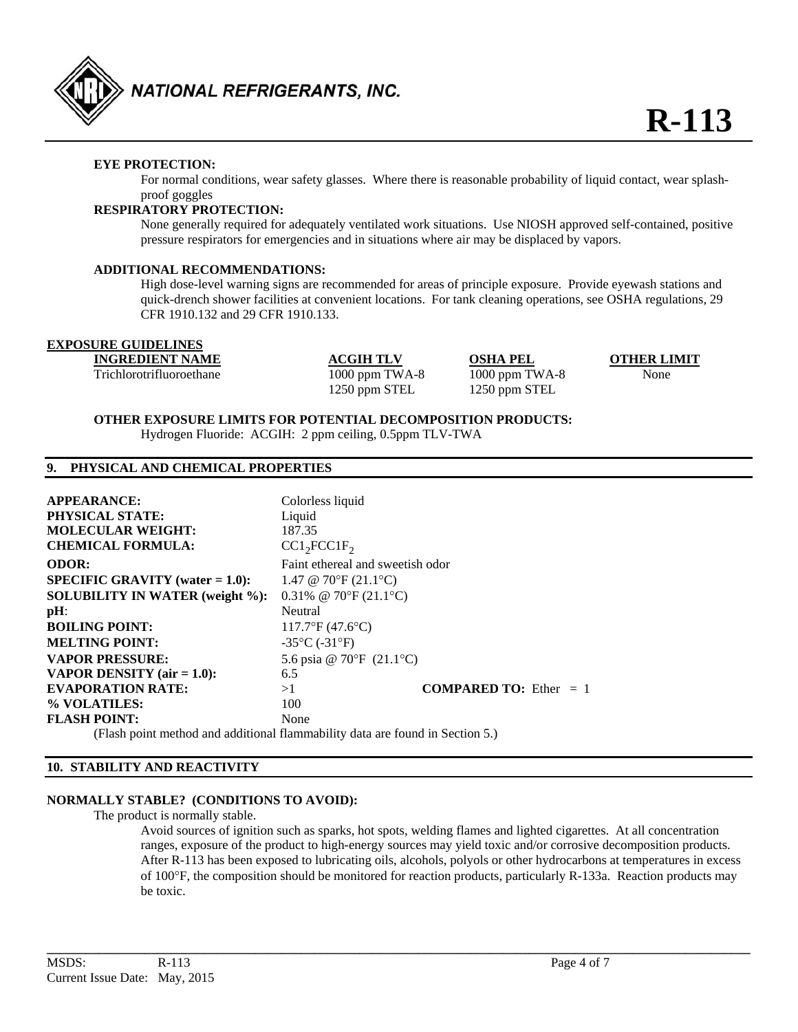

#### **EYE PROTECTION:**

For normal conditions, wear safety glasses. Where there is reasonable probability of liquid contact, wear splashproof goggles

#### **RESPIRATORY PROTECTION:**

 None generally required for adequately ventilated work situations. Use NIOSH approved self-contained, positive pressure respirators for emergencies and in situations where air may be displaced by vapors.

#### **ADDITIONAL RECOMMENDATIONS:**

High dose-level warning signs are recommended for areas of principle exposure. Provide eyewash stations and quick-drench shower facilities at convenient locations. For tank cleaning operations, see OSHA regulations, 29 CFR 1910.132 and 29 CFR 1910.133.

## **EXPOSURE GUIDELINES**

**INGREDIENT NAME ACGIH TLV OSHA PEL OTHER LIMIT** Trichlorotrifluoroethane 1000 ppm TWA-8 1000 ppm TWA-8 None 1250 ppm STEL 1250 ppm STEL

#### **OTHER EXPOSURE LIMITS FOR POTENTIAL DECOMPOSITION PRODUCTS:**

Hydrogen Fluoride: ACGIH: 2 ppm ceiling, 0.5ppm TLV-TWA

#### **9. PHYSICAL AND CHEMICAL PROPERTIES**

| <b>APPEARANCE:</b>                        | Colorless liquid                   |                                 |
|-------------------------------------------|------------------------------------|---------------------------------|
| <b>PHYSICAL STATE:</b>                    | Liquid                             |                                 |
| <b>MOLECULAR WEIGHT:</b>                  | 187.35                             |                                 |
| <b>CHEMICAL FORMULA:</b>                  | CC1, FCC1F                         |                                 |
| <b>ODOR:</b>                              | Faint ethereal and sweetish odor   |                                 |
| <b>SPECIFIC GRAVITY</b> (water $= 1.0$ ): | 1.47 @ 70°F $(21.1$ °C)            |                                 |
| <b>SOLUBILITY IN WATER (weight %):</b>    | 0.31% @ 70°F $(21.1$ °C)           |                                 |
| $pH$ :                                    | Neutral                            |                                 |
| <b>BOILING POINT:</b>                     | $117.7$ °F (47.6°C)                |                                 |
| <b>MELTING POINT:</b>                     | $-35^{\circ}$ C ( $-31^{\circ}$ F) |                                 |
| <b>VAPOR PRESSURE:</b>                    | 5.6 psia @ 70°F $(21.1$ °C)        |                                 |
| VAPOR DENSITY $(air = 1.0)$ :             | 6.5                                |                                 |
| <b>EVAPORATION RATE:</b>                  | >1                                 | <b>COMPARED TO:</b> Ether $= 1$ |
| % VOLATILES:                              | 100                                |                                 |
| <b>FLASH POINT:</b>                       | None                               |                                 |

(Flash point method and additional flammability data are found in Section 5.)

#### **10. STABILITY AND REACTIVITY**

#### **NORMALLY STABLE? (CONDITIONS TO AVOID):**

The product is normally stable.

 Avoid sources of ignition such as sparks, hot spots, welding flames and lighted cigarettes. At all concentration ranges, exposure of the product to high-energy sources may yield toxic and/or corrosive decomposition products. After R-113 has been exposed to lubricating oils, alcohols, polyols or other hydrocarbons at temperatures in excess of  $100^{\circ}$ F, the composition should be monitored for reaction products, particularly R-133a. Reaction products may be toxic.

**\_\_\_\_\_\_\_\_\_\_\_\_\_\_\_\_\_\_\_\_\_\_\_\_\_\_\_\_\_\_\_\_\_\_\_\_\_\_\_\_\_\_\_\_\_\_\_\_\_\_\_\_\_\_\_\_\_\_\_\_\_\_\_\_\_\_\_\_\_\_\_\_\_\_\_\_\_\_\_\_\_\_\_\_\_\_\_\_\_\_\_\_\_\_\_\_\_\_\_\_\_\_\_\_\_\_\_\_**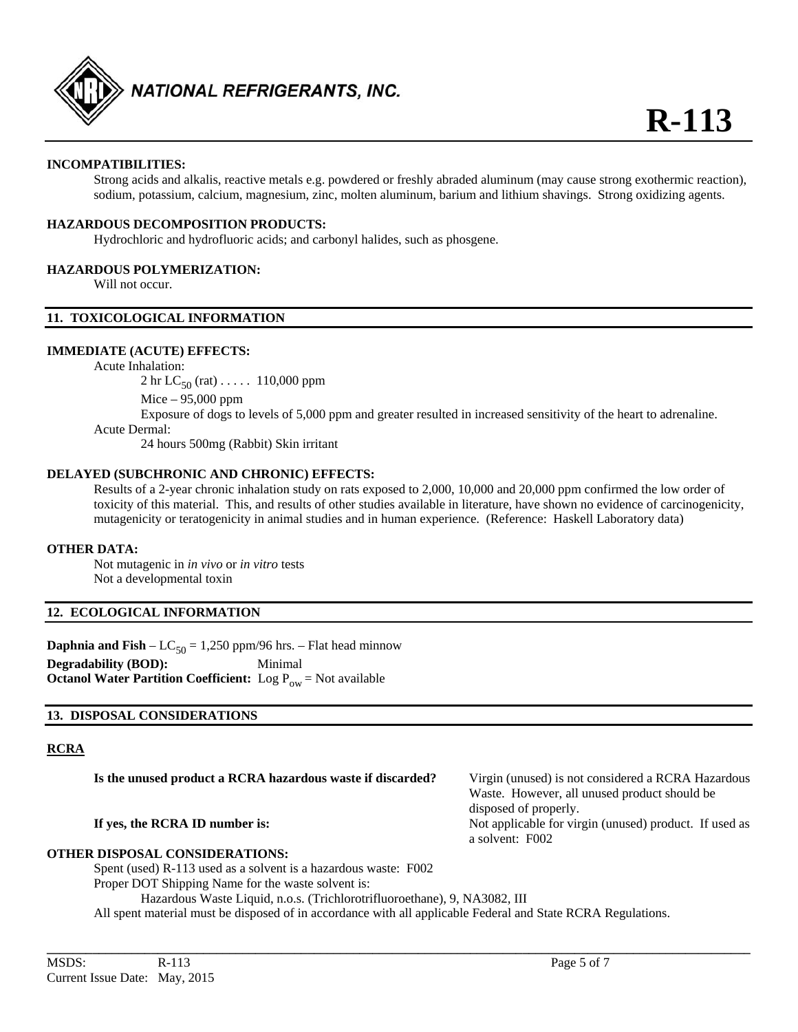

#### **INCOMPATIBILITIES:**

 Strong acids and alkalis, reactive metals e.g. powdered or freshly abraded aluminum (may cause strong exothermic reaction), sodium, potassium, calcium, magnesium, zinc, molten aluminum, barium and lithium shavings. Strong oxidizing agents.

#### **HAZARDOUS DECOMPOSITION PRODUCTS:**

Hydrochloric and hydrofluoric acids; and carbonyl halides, such as phosgene.

#### **HAZARDOUS POLYMERIZATION:**

Will not occur.

#### **11. TOXICOLOGICAL INFORMATION**

#### **IMMEDIATE (ACUTE) EFFECTS:**

Acute Inhalation:

2 hr  $LC_{50}$  (rat)  $\dots$  . 110,000 ppm Mice – 95,000 ppm

Exposure of dogs to levels of 5,000 ppm and greater resulted in increased sensitivity of the heart to adrenaline. Acute Dermal:

24 hours 500mg (Rabbit) Skin irritant

#### **DELAYED (SUBCHRONIC AND CHRONIC) EFFECTS:**

 Results of a 2-year chronic inhalation study on rats exposed to 2,000, 10,000 and 20,000 ppm confirmed the low order of toxicity of this material. This, and results of other studies available in literature, have shown no evidence of carcinogenicity, mutagenicity or teratogenicity in animal studies and in human experience. (Reference: Haskell Laboratory data)

#### **OTHER DATA:**

Not mutagenic in *in vivo* or *in vitro* tests Not a developmental toxin

#### **12. ECOLOGICAL INFORMATION**

**Daphnia and Fish** –  $LC_{50} = 1,250$  ppm/96 hrs. – Flat head minnow **Degradability (BOD):** Minimal **Octanol Water Partition Coefficient:** Log  $P_{ow}$  = Not available

#### **13. DISPOSAL CONSIDERATIONS**

#### **RCRA**

**Is the unused product a RCRA hazardous waste if discarded?** Virgin (unused) is not considered a RCRA Hazardous

#### **If yes, the RCRA ID number is:** Not applicable for virgin (unused) product. If used as

#### **OTHER DISPOSAL CONSIDERATIONS:**

Spent (used) R-113 used as a solvent is a hazardous waste: F002

Proper DOT Shipping Name for the waste solvent is:

Hazardous Waste Liquid, n.o.s. (Trichlorotrifluoroethane), 9, NA3082, III

All spent material must be disposed of in accordance with all applicable Federal and State RCRA Regulations.

Waste. However, all unused product should be

disposed of properly.

a solvent: F002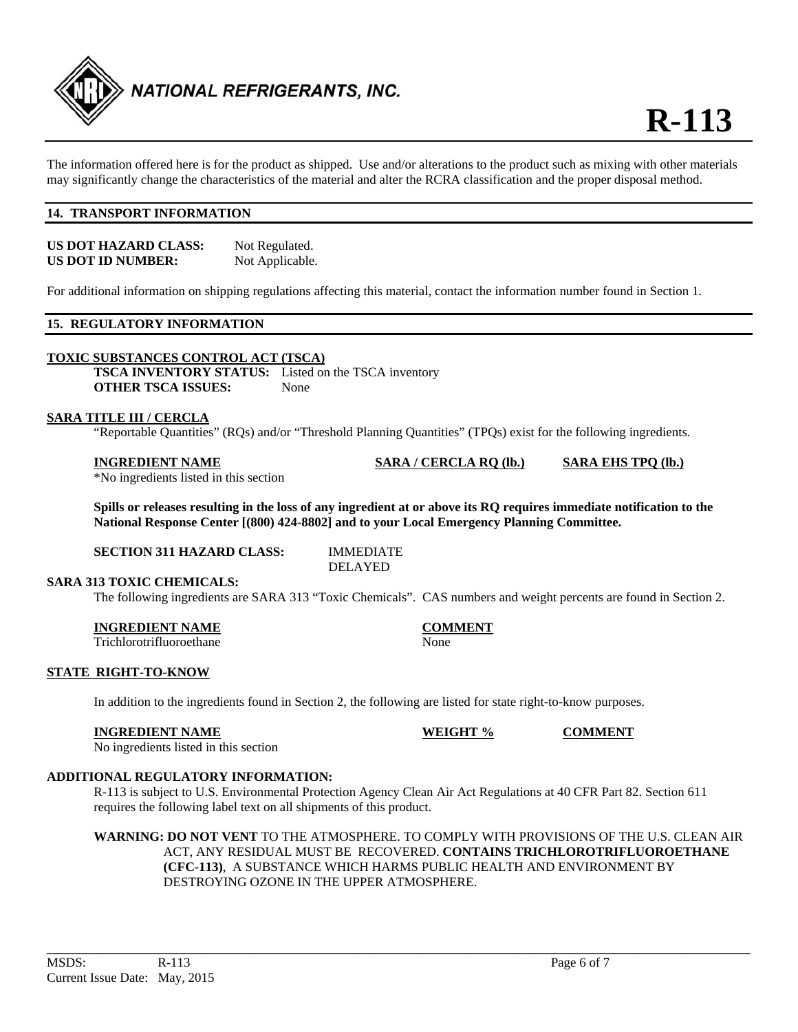

The information offered here is for the product as shipped. Use and/or alterations to the product such as mixing with other materials may significantly change the characteristics of the material and alter the RCRA classification and the proper disposal method.

#### **14. TRANSPORT INFORMATION**

| US DOT HAZARD CLASS: | Not Regulated.  |
|----------------------|-----------------|
| US DOT ID NUMBER:    | Not Applicable. |

For additional information on shipping regulations affecting this material, contact the information number found in Section 1.

#### **15. REGULATORY INFORMATION**

#### **TOXIC SUBSTANCES CONTROL ACT (TSCA)**

**TSCA INVENTORY STATUS:** Listed on the TSCA inventory **OTHER TSCA ISSUES:** None

#### **SARA TITLE III / CERCLA**

"Reportable Quantities" (RQs) and/or "Threshold Planning Quantities" (TPQs) exist for the following ingredients.

\*No ingredients listed in this section

**Spills or releases resulting in the loss of any ingredient at or above its RQ requires immediate notification to the National Response Center [(800) 424-8802] and to your Local Emergency Planning Committee.** 

**SECTION 311 HAZARD CLASS:** IMMEDIATE

DELAYED

#### **SARA 313 TOXIC CHEMICALS:**

The following ingredients are SARA 313 "Toxic Chemicals". CAS numbers and weight percents are found in Section 2.

#### **INGREDIENT NAME COMMENT**

Trichlorotrifluoroethane None

**STATE RIGHT-TO-KNOW** 

In addition to the ingredients found in Section 2, the following are listed for state right-to-know purposes.

#### **INGREDIENT NAME WEIGHT % COMMENT**

No ingredients listed in this section

#### **ADDITIONAL REGULATORY INFORMATION:**

 R-113 is subject to U.S. Environmental Protection Agency Clean Air Act Regulations at 40 CFR Part 82. Section 611 requires the following label text on all shipments of this product.

**WARNING: DO NOT VENT** TO THE ATMOSPHERE. TO COMPLY WITH PROVISIONS OF THE U.S. CLEAN AIR ACT, ANY RESIDUAL MUST BE RECOVERED. **CONTAINS TRICHLOROTRIFLUOROETHANE (CFC-113)**, A SUBSTANCE WHICH HARMS PUBLIC HEALTH AND ENVIRONMENT BY DESTROYING OZONE IN THE UPPER ATMOSPHERE.

**INGREDIENT NAME SARA / CERCLA RQ (lb.) SARA EHS TPQ (lb.)**